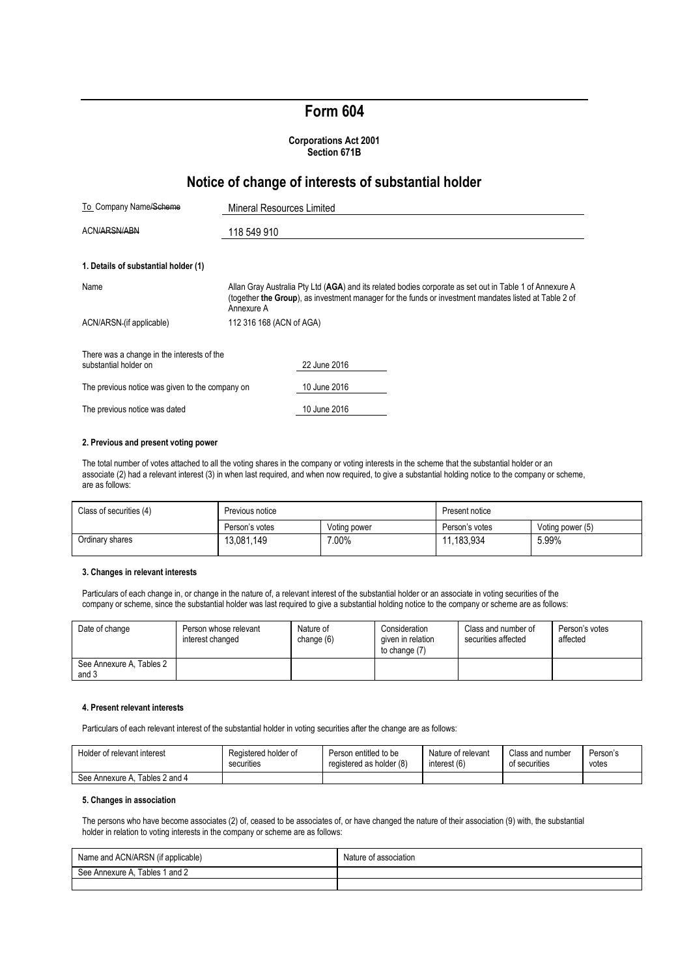# **Form 604**

#### **Corporations Act 2001 Section 671B**

## **Notice of change of interests of substantial holder**

| To Company Name/Scheme                                              | Mineral Resources Limited                                                                                                                                                                                                      |  |  |  |  |
|---------------------------------------------------------------------|--------------------------------------------------------------------------------------------------------------------------------------------------------------------------------------------------------------------------------|--|--|--|--|
| ACN/ARSN/ABN                                                        | 118 549 910                                                                                                                                                                                                                    |  |  |  |  |
| 1. Details of substantial holder (1)                                |                                                                                                                                                                                                                                |  |  |  |  |
| Name                                                                | Allan Gray Australia Pty Ltd (AGA) and its related bodies corporate as set out in Table 1 of Annexure A<br>(together the Group), as investment manager for the funds or investment mandates listed at Table 2 of<br>Annexure A |  |  |  |  |
| ACN/ARSN-(if applicable)                                            | 112 316 168 (ACN of AGA)                                                                                                                                                                                                       |  |  |  |  |
| There was a change in the interests of the<br>substantial holder on | 22 June 2016                                                                                                                                                                                                                   |  |  |  |  |
| The previous notice was given to the company on                     | 10 June 2016                                                                                                                                                                                                                   |  |  |  |  |
| The previous notice was dated                                       | 10 June 2016                                                                                                                                                                                                                   |  |  |  |  |

#### **2. Previous and present voting power**

The total number of votes attached to all the voting shares in the company or voting interests in the scheme that the substantial holder or an associate (2) had a relevant interest (3) in when last required, and when now required, to give a substantial holding notice to the company or scheme, are as follows:

| Class of securities (4) | Previous notice |              | Present notice |                  |
|-------------------------|-----------------|--------------|----------------|------------------|
|                         | Person's votes  | Voting power | Person's votes | Voting power (5) |
| Ordinary shares         | 13.081.149      | 7.00%        | 11.183.934     | 5.99%            |

#### **3. Changes in relevant interests**

Particulars of each change in, or change in the nature of, a relevant interest of the substantial holder or an associate in voting securities of the company or scheme, since the substantial holder was last required to give a substantial holding notice to the company or scheme are as follows:

| Date of change                    | Person whose relevant<br>interest changed | Nature of<br>change (6) | Consideration<br>given in relation<br>to change (7) | Class and number of<br>securities affected | Person's votes<br>affected |
|-----------------------------------|-------------------------------------------|-------------------------|-----------------------------------------------------|--------------------------------------------|----------------------------|
| See Annexure A, Tables 2<br>and 3 |                                           |                         |                                                     |                                            |                            |

#### **4. Present relevant interests**

Particulars of each relevant interest of the substantial holder in voting securities after the change are as follows:

| Holder of relevant interest       | Registered holder of | Person entitled to be    | Nature of relevant | Class and number | Person's |
|-----------------------------------|----------------------|--------------------------|--------------------|------------------|----------|
|                                   | securities           | registered as holder (8) | interest (6)       | of securities    | votes    |
| Tables 2 and 4<br>See Annexure A. |                      |                          |                    |                  |          |

#### **5. Changes in association**

The persons who have become associates (2) of, ceased to be associates of, or have changed the nature of their association (9) with, the substantial holder in relation to voting interests in the company or scheme are as follows:

| Name and ACN/ARSN (if applicable) | Nature<br>t association |
|-----------------------------------|-------------------------|
| Tables 1 and 2<br>See Annexure A  |                         |
|                                   |                         |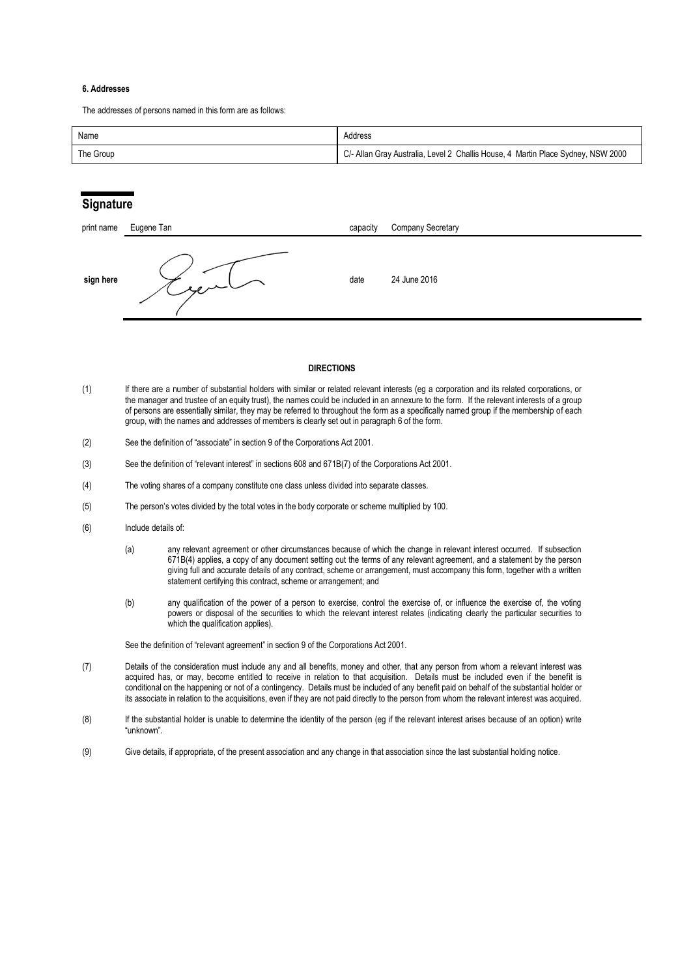#### **6. Addresses**

The addresses of persons named in this form are as follows:

| Name      | Address                                                                          |
|-----------|----------------------------------------------------------------------------------|
| The Group | C/- Allan Gray Australia, Level 2 Challis House, 4 Martin Place Sydney, NSW 2000 |

### **Signature**

| print name | Eugene Tan | capacity | <b>Company Secretary</b> |
|------------|------------|----------|--------------------------|
| sign here  | سيروء      | date     | 24 June 2016             |

#### **DIRECTIONS**

- (1) If there are a number of substantial holders with similar or related relevant interests (eg a corporation and its related corporations, or the manager and trustee of an equity trust), the names could be included in an annexure to the form. If the relevant interests of a group of persons are essentially similar, they may be referred to throughout the form as a specifically named group if the membership of each group, with the names and addresses of members is clearly set out in paragraph 6 of the form.
- (2) See the definition of "associate" in section 9 of the Corporations Act 2001.
- (3) See the definition of "relevant interest" in sections 608 and 671B(7) of the Corporations Act 2001.
- (4) The voting shares of a company constitute one class unless divided into separate classes.
- (5) The person's votes divided by the total votes in the body corporate or scheme multiplied by 100.
- (6) Include details of:
	- (a) any relevant agreement or other circumstances because of which the change in relevant interest occurred. If subsection 671B(4) applies, a copy of any document setting out the terms of any relevant agreement, and a statement by the person giving full and accurate details of any contract, scheme or arrangement, must accompany this form, together with a written statement certifying this contract, scheme or arrangement; and
	- (b) any qualification of the power of a person to exercise, control the exercise of, or influence the exercise of, the voting powers or disposal of the securities to which the relevant interest relates (indicating clearly the particular securities to which the qualification applies).

See the definition of "relevant agreement" in section 9 of the Corporations Act 2001.

- (7) Details of the consideration must include any and all benefits, money and other, that any person from whom a relevant interest was acquired has, or may, become entitled to receive in relation to that acquisition. Details must be included even if the benefit is conditional on the happening or not of a contingency. Details must be included of any benefit paid on behalf of the substantial holder or its associate in relation to the acquisitions, even if they are not paid directly to the person from whom the relevant interest was acquired.
- (8) If the substantial holder is unable to determine the identity of the person (eg if the relevant interest arises because of an option) write "unknown".
- (9) Give details, if appropriate, of the present association and any change in that association since the last substantial holding notice.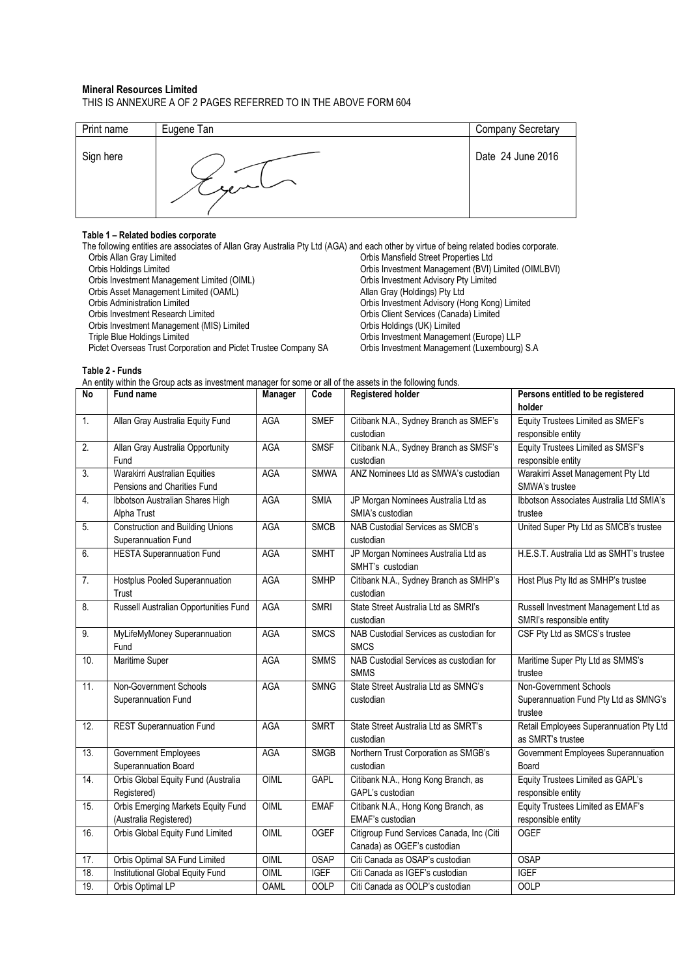#### **Mineral Resources Limited** THIS IS ANNEXURE A OF 2 PAGES REFERRED TO IN THE ABOVE FORM 604

| Print name | Eugene Tan   | Company Secretary |
|------------|--------------|-------------------|
| Sign here  | $\sim$ equal | Date 24 June 2016 |

### **Table 1 – Related bodies corporate**

The following entities are associates of Allan Gray Australia Pty Ltd (AGA) and each other by virtue of being related bodies corporate.<br>Orbis Allan Gray Limited orbis Mansfield Street Properties Ltd Orbis Allan Gray Limited Orbis Mansfield Street Properties Ltd Orbis Investment Management (BVI) Limited (OIMLBVI)<br>Orbis Investment Advisory Pty Limited Orbis Investment Management Limited (OIML) Orbis Investment Advisory Pty<br>
Orbis Asset Management Limited (OAML) Channel County Allan Gray (Holdings) Pty Ltd Orbis Asset Management Limited (OAML)<br>Orbis Administration Limited Orbis Administration Limited<br>
Orbis Investment Advisory (Hong Kong) Limited<br>
Orbis Investment Research Limited<br>
Orbis Client Services (Canada) Limited Orbis Client Services (Canada) Limited<br>Orbis Holdings (UK) Limited Orbis Investment Management (MIS) Limited<br>Triple Blue Holdings Limited Orbis Investment Management (Europe) LLP<br>Orbis Investment Management (Luxembourg) S.A Pictet Overseas Trust Corporation and Pictet Trustee Company SA

**Table 2 - Funds**

An entity within the Group acts as investment manager for some or all of the assets in the following funds.

| $\overline{N}$   | Fund name                               | Manager     | Code        | <b>Registered holder</b>                               | Persons entitled to be registered                          |
|------------------|-----------------------------------------|-------------|-------------|--------------------------------------------------------|------------------------------------------------------------|
|                  |                                         |             |             |                                                        | holder                                                     |
| 1.               | Allan Gray Australia Equity Fund        | <b>AGA</b>  | <b>SMEF</b> | Citibank N.A., Sydney Branch as SMEF's                 | Equity Trustees Limited as SMEF's                          |
|                  |                                         |             |             | custodian                                              | responsible entity                                         |
| $\overline{2}$ . | Allan Gray Australia Opportunity        | <b>AGA</b>  | <b>SMSF</b> | Citibank N.A., Sydney Branch as SMSF's                 | Equity Trustees Limited as SMSF's                          |
|                  | Fund                                    |             |             | custodian                                              | responsible entity                                         |
| $\overline{3}$ . | Warakirri Australian Equities           | AGA         | <b>SMWA</b> | ANZ Nominees Ltd as SMWA's custodian                   | Warakirri Asset Management Pty Ltd                         |
|                  | Pensions and Charities Fund             |             |             |                                                        | SMWA's trustee                                             |
| 4.               | Ibbotson Australian Shares High         | <b>AGA</b>  | <b>SMIA</b> | JP Morgan Nominees Australia Ltd as                    | Ibbotson Associates Australia Ltd SMIA's                   |
|                  | Alpha Trust                             |             |             | SMIA's custodian                                       | trustee                                                    |
| 5.               | <b>Construction and Building Unions</b> | AGA         | <b>SMCB</b> | NAB Custodial Services as SMCB's                       | United Super Pty Ltd as SMCB's trustee                     |
|                  | Superannuation Fund                     |             |             | custodian                                              |                                                            |
| 6.               | <b>HESTA Superannuation Fund</b>        | <b>AGA</b>  | <b>SMHT</b> | JP Morgan Nominees Australia Ltd as                    | H.E.S.T. Australia Ltd as SMHT's trustee                   |
|                  |                                         |             |             | SMHT's custodian                                       |                                                            |
| 7.               | <b>Hostplus Pooled Superannuation</b>   | <b>AGA</b>  | <b>SMHP</b> | Citibank N.A., Sydney Branch as SMHP's                 | Host Plus Pty Itd as SMHP's trustee                        |
|                  | Trust                                   |             |             | custodian                                              |                                                            |
| 8.               | Russell Australian Opportunities Fund   | <b>AGA</b>  | <b>SMRI</b> | State Street Australia Ltd as SMRI's                   | Russell Investment Management Ltd as                       |
| 9.               |                                         | <b>AGA</b>  | <b>SMCS</b> | custodian                                              | SMRI's responsible entity<br>CSF Pty Ltd as SMCS's trustee |
|                  | MyLifeMyMoney Superannuation<br>Fund    |             |             | NAB Custodial Services as custodian for<br><b>SMCS</b> |                                                            |
| 10.              | Maritime Super                          |             | <b>SMMS</b> | NAB Custodial Services as custodian for                | Maritime Super Pty Ltd as SMMS's                           |
|                  |                                         | AGA         |             | <b>SMMS</b>                                            | trustee                                                    |
| 11.              | Non-Government Schools                  | <b>AGA</b>  | <b>SMNG</b> | State Street Australia Ltd as SMNG's                   | Non-Government Schools                                     |
|                  | Superannuation Fund                     |             |             | custodian                                              | Superannuation Fund Pty Ltd as SMNG's                      |
|                  |                                         |             |             |                                                        | trustee                                                    |
| 12.              | <b>REST Superannuation Fund</b>         | <b>AGA</b>  | <b>SMRT</b> | State Street Australia Ltd as SMRT's                   | Retail Employees Superannuation Pty Ltd                    |
|                  |                                         |             |             | custodian                                              | as SMRT's trustee                                          |
| 13.              | Government Employees                    | <b>AGA</b>  | <b>SMGB</b> | Northern Trust Corporation as SMGB's                   | Government Employees Superannuation                        |
|                  | Superannuation Board                    |             |             | custodian                                              | Board                                                      |
| 14.              | Orbis Global Equity Fund (Australia     | OIML        | <b>GAPL</b> | Citibank N.A., Hong Kong Branch, as                    | Equity Trustees Limited as GAPL's                          |
|                  | Registered)                             |             |             | GAPL's custodian                                       | responsible entity                                         |
| 15.              | Orbis Emerging Markets Equity Fund      | OIML        | <b>EMAF</b> | Citibank N.A., Hong Kong Branch, as                    | Equity Trustees Limited as EMAF's                          |
|                  | (Australia Registered)                  |             |             | EMAF's custodian                                       | responsible entity                                         |
| 16.              | Orbis Global Equity Fund Limited        | OIML        | <b>OGEF</b> | Citigroup Fund Services Canada, Inc (Citi              | <b>OGEF</b>                                                |
|                  |                                         |             |             | Canada) as OGEF's custodian                            |                                                            |
| 17.              | Orbis Optimal SA Fund Limited           | OIML        | <b>OSAP</b> | Citi Canada as OSAP's custodian                        | <b>OSAP</b>                                                |
| 18.              | Institutional Global Equity Fund        | OIML        | <b>IGEF</b> | Citi Canada as IGEF's custodian                        | <b>IGEF</b>                                                |
| 19.              | Orbis Optimal LP                        | <b>OAML</b> | <b>OOLP</b> | Citi Canada as OOLP's custodian                        | <b>OOLP</b>                                                |